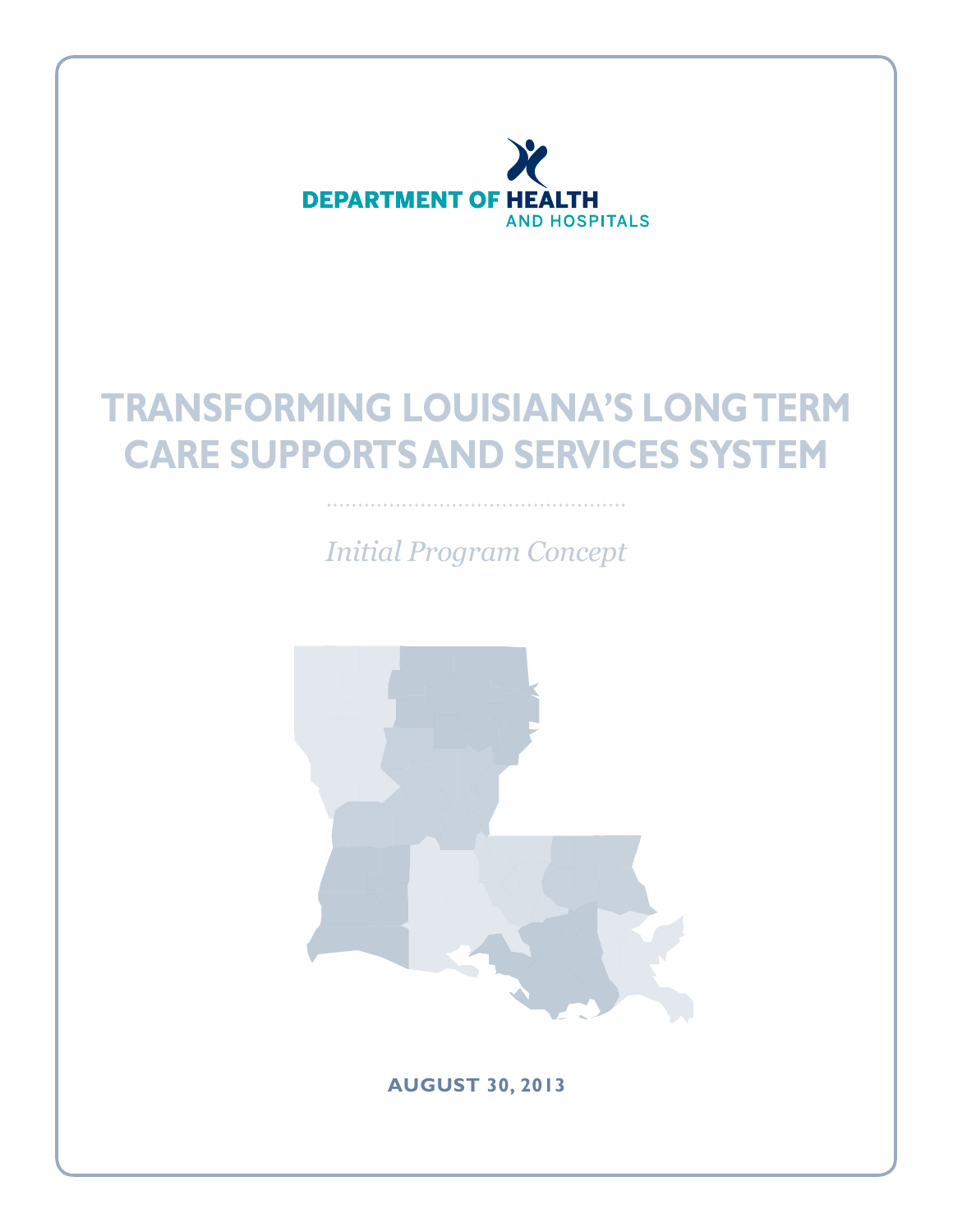

*Initial Program Concept*



**August 30, 2013**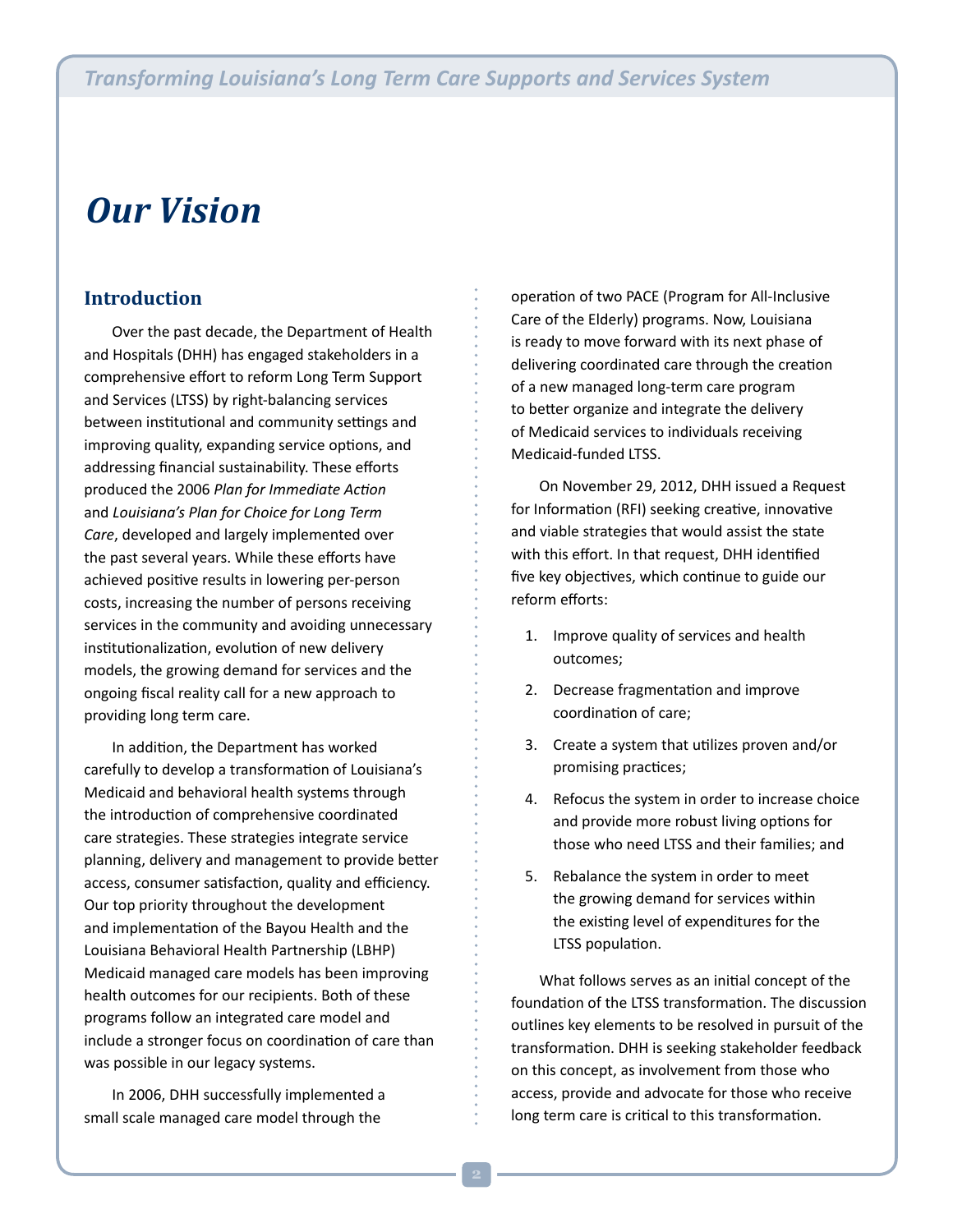## *Our Vision*

### **Introduction**

Over the past decade, the Department of Health and Hospitals (DHH) has engaged stakeholders in a comprehensive effort to reform Long Term Support and Services (LTSS) by right-balancing services between institutional and community settings and improving quality, expanding service options, and addressing financial sustainability. These efforts produced the 2006 *Plan for Immediate Action* and *Louisiana's Plan for Choice for Long Term Care*, developed and largely implemented over the past several years. While these efforts have achieved positive results in lowering per-person costs, increasing the number of persons receiving services in the community and avoiding unnecessary institutionalization, evolution of new delivery models, the growing demand for services and the ongoing fiscal reality call for a new approach to providing long term care.

In addition, the Department has worked carefully to develop a transformation of Louisiana's Medicaid and behavioral health systems through the introduction of comprehensive coordinated care strategies. These strategies integrate service planning, delivery and management to provide better access, consumer satisfaction, quality and efficiency. Our top priority throughout the development and implementation of the Bayou Health and the Louisiana Behavioral Health Partnership (LBHP) Medicaid managed care models has been improving health outcomes for our recipients. Both of these programs follow an integrated care model and include a stronger focus on coordination of care than was possible in our legacy systems.

In 2006, DHH successfully implemented a small scale managed care model through the

operation of two PACE (Program for All-Inclusive Care of the Elderly) programs. Now, Louisiana is ready to move forward with its next phase of delivering coordinated care through the creation of a new managed long-term care program to better organize and integrate the delivery of Medicaid services to individuals receiving Medicaid-funded LTSS.

On November 29, 2012, DHH issued a Request for Information (RFI) seeking creative, innovative and viable strategies that would assist the state with this effort. In that request, DHH identified five key objectives, which continue to guide our reform efforts:

- 1. Improve quality of services and health outcomes;
- 2. Decrease fragmentation and improve coordination of care;
- 3. Create a system that utilizes proven and/or promising practices;
- 4. Refocus the system in order to increase choice and provide more robust living options for those who need LTSS and their families; and
- 5. Rebalance the system in order to meet the growing demand for services within the existing level of expenditures for the LTSS population.

What follows serves as an initial concept of the foundation of the LTSS transformation. The discussion outlines key elements to be resolved in pursuit of the transformation. DHH is seeking stakeholder feedback on this concept, as involvement from those who access, provide and advocate for those who receive long term care is critical to this transformation.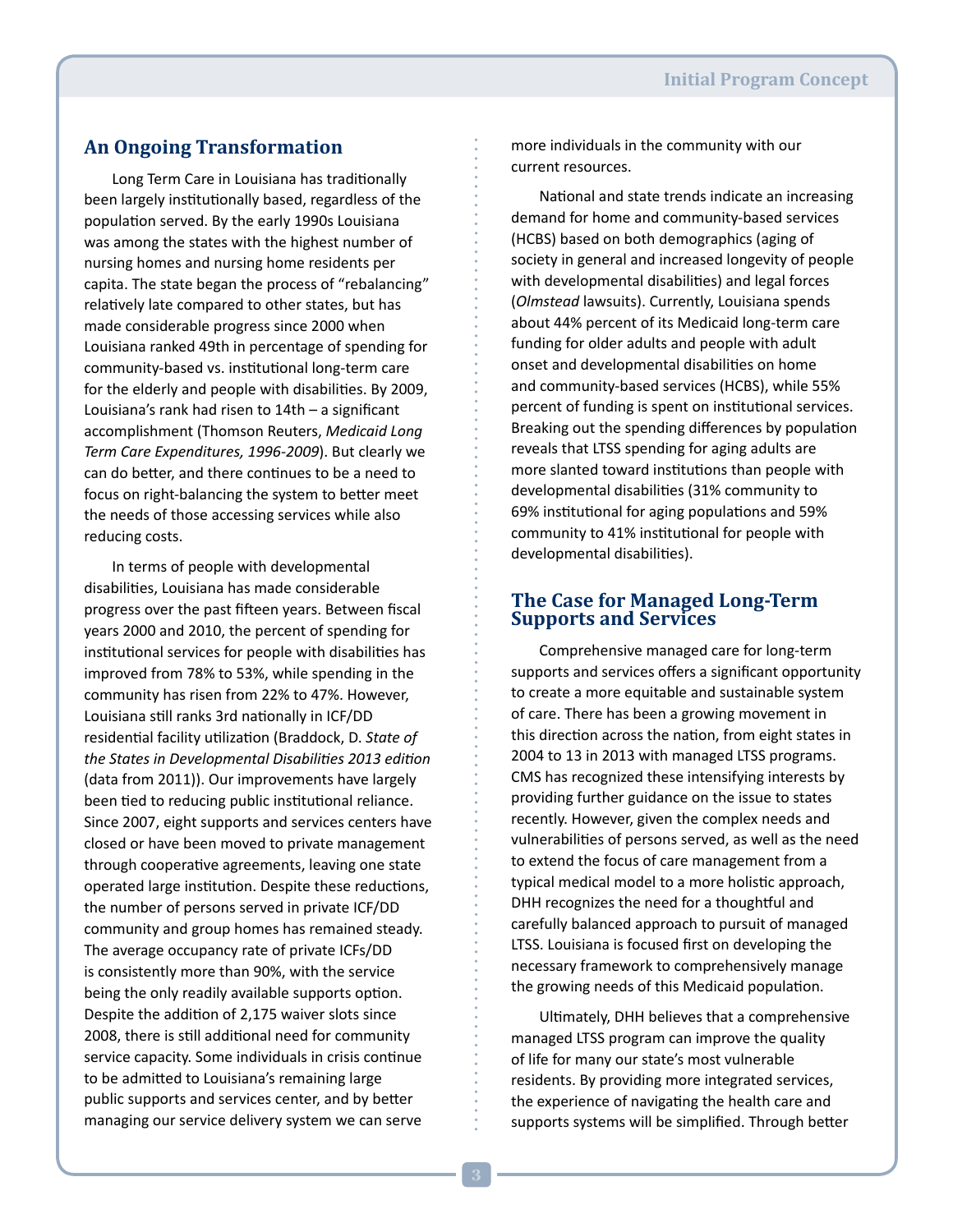### **An Ongoing Transformation**

Long Term Care in Louisiana has traditionally been largely institutionally based, regardless of the population served. By the early 1990s Louisiana was among the states with the highest number of nursing homes and nursing home residents per capita. The state began the process of "rebalancing" relatively late compared to other states, but has made considerable progress since 2000 when Louisiana ranked 49th in percentage of spending for community-based vs. institutional long-term care for the elderly and people with disabilities. By 2009, Louisiana's rank had risen to 14th – a significant accomplishment (Thomson Reuters, *Medicaid Long Term Care Expenditures, 1996-2009*). But clearly we can do better, and there continues to be a need to focus on right-balancing the system to better meet the needs of those accessing services while also reducing costs.

In terms of people with developmental disabilities, Louisiana has made considerable progress over the past fifteen years. Between fiscal years 2000 and 2010, the percent of spending for institutional services for people with disabilities has improved from 78% to 53%, while spending in the community has risen from 22% to 47%. However, Louisiana still ranks 3rd nationally in ICF/DD residential facility utilization (Braddock, D. *State of the States in Developmental Disabilities 2013 edition*  (data from 2011)). Our improvements have largely been tied to reducing public institutional reliance. Since 2007, eight supports and services centers have closed or have been moved to private management through cooperative agreements, leaving one state operated large institution. Despite these reductions, the number of persons served in private ICF/DD community and group homes has remained steady. The average occupancy rate of private ICFs/DD is consistently more than 90%, with the service being the only readily available supports option. Despite the addition of 2,175 waiver slots since 2008, there is still additional need for community service capacity. Some individuals in crisis continue to be admitted to Louisiana's remaining large public supports and services center, and by better managing our service delivery system we can serve

more individuals in the community with our current resources.

National and state trends indicate an increasing demand for home and community-based services (HCBS) based on both demographics (aging of society in general and increased longevity of people with developmental disabilities) and legal forces (*Olmstead* lawsuits). Currently, Louisiana spends about 44% percent of its Medicaid long-term care funding for older adults and people with adult onset and developmental disabilities on home and community-based services (HCBS), while 55% percent of funding is spent on institutional services. Breaking out the spending differences by population reveals that LTSS spending for aging adults are more slanted toward institutions than people with developmental disabilities (31% community to 69% institutional for aging populations and 59% community to 41% institutional for people with developmental disabilities).

### **The Case for Managed Long-Term Supports and Services**

Comprehensive managed care for long-term supports and services offers a significant opportunity to create a more equitable and sustainable system of care. There has been a growing movement in this direction across the nation, from eight states in 2004 to 13 in 2013 with managed LTSS programs. CMS has recognized these intensifying interests by providing further guidance on the issue to states recently. However, given the complex needs and vulnerabilities of persons served, as well as the need to extend the focus of care management from a typical medical model to a more holistic approach, DHH recognizes the need for a thoughtful and carefully balanced approach to pursuit of managed LTSS. Louisiana is focused first on developing the necessary framework to comprehensively manage the growing needs of this Medicaid population.

Ultimately, DHH believes that a comprehensive managed LTSS program can improve the quality of life for many our state's most vulnerable residents. By providing more integrated services, the experience of navigating the health care and supports systems will be simplified. Through better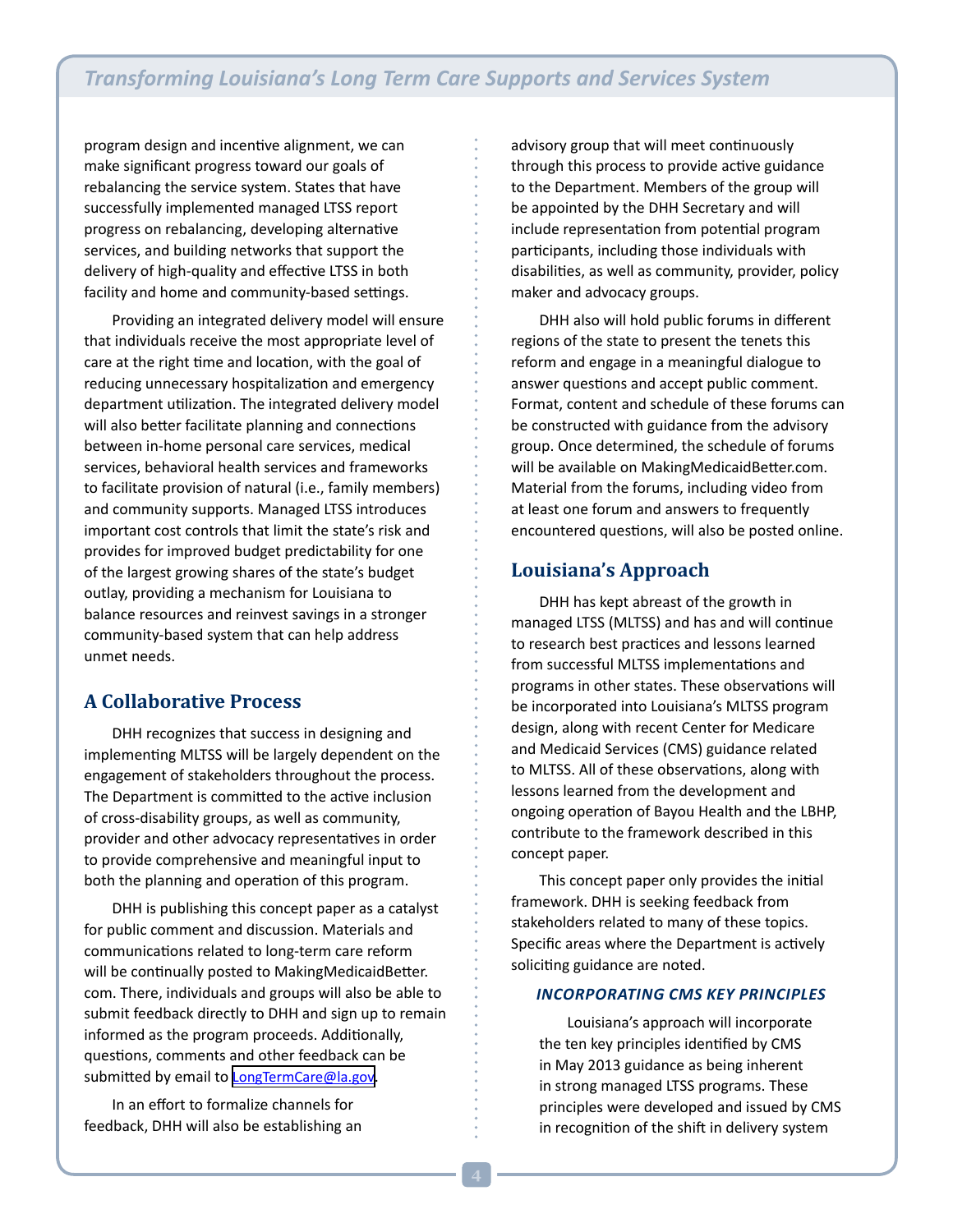program design and incentive alignment, we can make significant progress toward our goals of rebalancing the service system. States that have successfully implemented managed LTSS report progress on rebalancing, developing alternative services, and building networks that support the delivery of high-quality and effective LTSS in both facility and home and community-based settings.

Providing an integrated delivery model will ensure that individuals receive the most appropriate level of care at the right time and location, with the goal of reducing unnecessary hospitalization and emergency department utilization. The integrated delivery model will also better facilitate planning and connections between in-home personal care services, medical services, behavioral health services and frameworks to facilitate provision of natural (i.e., family members) and community supports. Managed LTSS introduces important cost controls that limit the state's risk and provides for improved budget predictability for one of the largest growing shares of the state's budget outlay, providing a mechanism for Louisiana to balance resources and reinvest savings in a stronger community-based system that can help address unmet needs.

### **A Collaborative Process**

DHH recognizes that success in designing and implementing MLTSS will be largely dependent on the engagement of stakeholders throughout the process. The Department is committed to the active inclusion of cross-disability groups, as well as community, provider and other advocacy representatives in order to provide comprehensive and meaningful input to both the planning and operation of this program.

DHH is publishing this concept paper as a catalyst for public comment and discussion. Materials and communications related to long-term care reform will be continually posted to MakingMedicaidBetter. com. There, individuals and groups will also be able to submit feedback directly to DHH and sign up to remain informed as the program proceeds. Additionally, questions, comments and other feedback can be submitted by email to [LongTermCare@la.gov.](mailto:LongTermCare@la.gov)

In an effort to formalize channels for feedback, DHH will also be establishing an advisory group that will meet continuously through this process to provide active guidance to the Department. Members of the group will be appointed by the DHH Secretary and will include representation from potential program participants, including those individuals with disabilities, as well as community, provider, policy maker and advocacy groups.

DHH also will hold public forums in different regions of the state to present the tenets this reform and engage in a meaningful dialogue to answer questions and accept public comment. Format, content and schedule of these forums can be constructed with guidance from the advisory group. Once determined, the schedule of forums will be available on MakingMedicaidBetter.com. Material from the forums, including video from at least one forum and answers to frequently encountered questions, will also be posted online.

### **Louisiana's Approach**

DHH has kept abreast of the growth in managed LTSS (MLTSS) and has and will continue to research best practices and lessons learned from successful MLTSS implementations and programs in other states. These observations will be incorporated into Louisiana's MLTSS program design, along with recent Center for Medicare and Medicaid Services (CMS) guidance related to MLTSS. All of these observations, along with lessons learned from the development and ongoing operation of Bayou Health and the LBHP, contribute to the framework described in this concept paper.

This concept paper only provides the initial framework. DHH is seeking feedback from stakeholders related to many of these topics. Specific areas where the Department is actively soliciting guidance are noted.

### *Incorporating CMS Key Principles*

Louisiana's approach will incorporate the ten key principles identified by CMS in May 2013 guidance as being inherent in strong managed LTSS programs. These principles were developed and issued by CMS in recognition of the shift in delivery system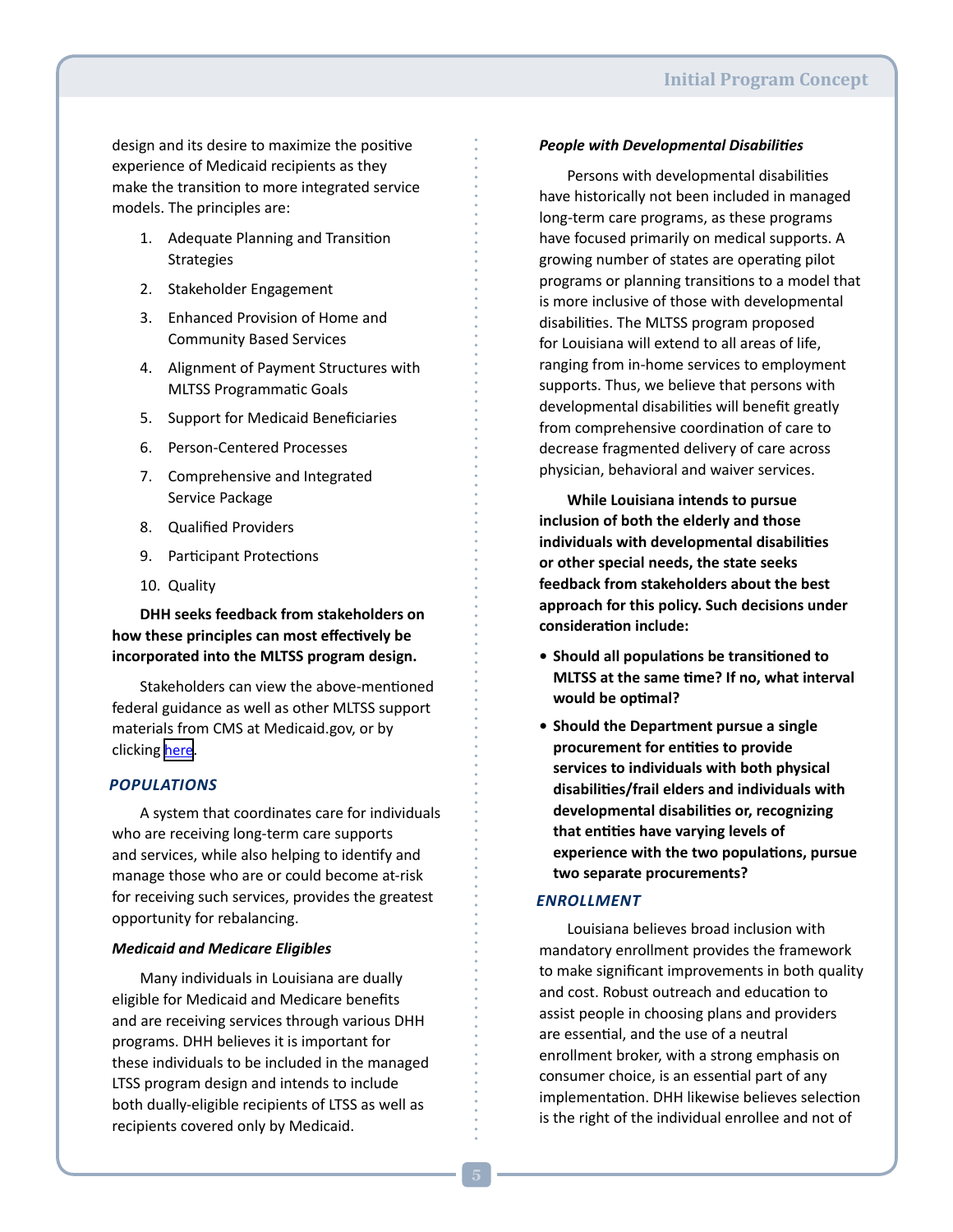design and its desire to maximize the positive experience of Medicaid recipients as they make the transition to more integrated service models. The principles are:

- 1. Adequate Planning and Transition Strategies
- 2. Stakeholder Engagement
- 3. Enhanced Provision of Home and Community Based Services
- 4. Alignment of Payment Structures with MLTSS Programmatic Goals
- 5. Support for Medicaid Beneficiaries
- 6. Person-Centered Processes
- 7. Comprehensive and Integrated Service Package
- 8. Qualified Providers
- 9. Participant Protections
- 10. Quality

**DHH seeks feedback from stakeholders on how these principles can most effectively be incorporated into the MLTSS program design.** 

Stakeholders can view the above-mentioned federal guidance as well as other MLTSS support materials from CMS at Medicaid.gov, or by clicking [here](http://www.medicaid.gov/Medicaid-CHIP-Program-Information/By-Topics/Delivery-Systems/Medicaid-Managed-Long-Term-Services-and-Supports-MLTSS.html).

### *Populations*

A system that coordinates care for individuals who are receiving long-term care supports and services, while also helping to identify and manage those who are or could become at-risk for receiving such services, provides the greatest opportunity for rebalancing.

### *Medicaid and Medicare Eligibles*

Many individuals in Louisiana are dually eligible for Medicaid and Medicare benefits and are receiving services through various DHH programs. DHH believes it is important for these individuals to be included in the managed LTSS program design and intends to include both dually-eligible recipients of LTSS as well as recipients covered only by Medicaid.

### *People with Developmental Disabilities*

Persons with developmental disabilities have historically not been included in managed long-term care programs, as these programs have focused primarily on medical supports. A growing number of states are operating pilot programs or planning transitions to a model that is more inclusive of those with developmental disabilities. The MLTSS program proposed for Louisiana will extend to all areas of life, ranging from in-home services to employment supports. Thus, we believe that persons with developmental disabilities will benefit greatly from comprehensive coordination of care to decrease fragmented delivery of care across physician, behavioral and waiver services.

**While Louisiana intends to pursue inclusion of both the elderly and those individuals with developmental disabilities or other special needs, the state seeks feedback from stakeholders about the best approach for this policy. Such decisions under consideration include:**

- **• Should all populations be transitioned to MLTSS at the same time? If no, what interval would be optimal?**
- **• Should the Department pursue a single procurement for entities to provide services to individuals with both physical disabilities/frail elders and individuals with developmental disabilities or, recognizing that entities have varying levels of experience with the two populations, pursue two separate procurements?**

### *Enrollment*

Louisiana believes broad inclusion with mandatory enrollment provides the framework to make significant improvements in both quality and cost. Robust outreach and education to assist people in choosing plans and providers are essential, and the use of a neutral enrollment broker, with a strong emphasis on consumer choice, is an essential part of any implementation. DHH likewise believes selection is the right of the individual enrollee and not of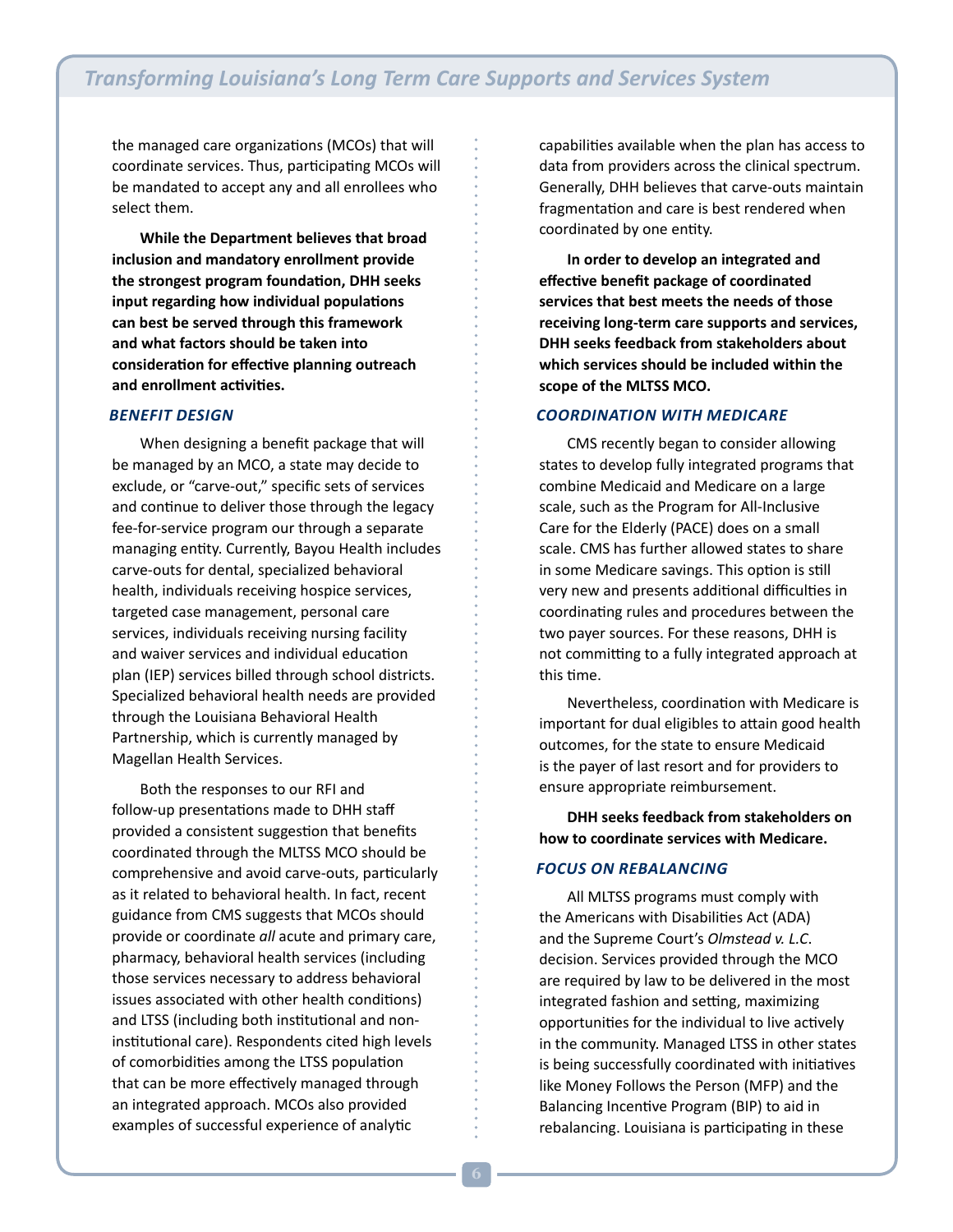the managed care organizations (MCOs) that will coordinate services. Thus, participating MCOs will be mandated to accept any and all enrollees who select them.

**While the Department believes that broad inclusion and mandatory enrollment provide the strongest program foundation, DHH seeks input regarding how individual populations can best be served through this framework and what factors should be taken into consideration for effective planning outreach and enrollment activities.**

### *Benefit Design*

When designing a benefit package that will be managed by an MCO, a state may decide to exclude, or "carve-out," specific sets of services and continue to deliver those through the legacy fee-for-service program our through a separate managing entity. Currently, Bayou Health includes carve-outs for dental, specialized behavioral health, individuals receiving hospice services, targeted case management, personal care services, individuals receiving nursing facility and waiver services and individual education plan (IEP) services billed through school districts. Specialized behavioral health needs are provided through the Louisiana Behavioral Health Partnership, which is currently managed by Magellan Health Services.

Both the responses to our RFI and follow-up presentations made to DHH staff provided a consistent suggestion that benefits coordinated through the MLTSS MCO should be comprehensive and avoid carve-outs, particularly as it related to behavioral health. In fact, recent guidance from CMS suggests that MCOs should provide or coordinate *all* acute and primary care, pharmacy, behavioral health services (including those services necessary to address behavioral issues associated with other health conditions) and LTSS (including both institutional and noninstitutional care). Respondents cited high levels of comorbidities among the LTSS population that can be more effectively managed through an integrated approach. MCOs also provided examples of successful experience of analytic

capabilities available when the plan has access to data from providers across the clinical spectrum. Generally, DHH believes that carve-outs maintain fragmentation and care is best rendered when coordinated by one entity.

**In order to develop an integrated and effective benefit package of coordinated services that best meets the needs of those receiving long-term care supports and services, DHH seeks feedback from stakeholders about which services should be included within the scope of the MLTSS MCO.**

### *Coordination with Medicare*

CMS recently began to consider allowing states to develop fully integrated programs that combine Medicaid and Medicare on a large scale, such as the Program for All-Inclusive Care for the Elderly (PACE) does on a small scale. CMS has further allowed states to share in some Medicare savings. This option is still very new and presents additional difficulties in coordinating rules and procedures between the two payer sources. For these reasons, DHH is not committing to a fully integrated approach at this time.

Nevertheless, coordination with Medicare is important for dual eligibles to attain good health outcomes, for the state to ensure Medicaid is the payer of last resort and for providers to ensure appropriate reimbursement.

**DHH seeks feedback from stakeholders on how to coordinate services with Medicare.** 

### *Focus on Rebalancing*

All MLTSS programs must comply with the Americans with Disabilities Act (ADA) and the Supreme Court's *Olmstead v. L.C*. decision. Services provided through the MCO are required by law to be delivered in the most integrated fashion and setting, maximizing opportunities for the individual to live actively in the community. Managed LTSS in other states is being successfully coordinated with initiatives like Money Follows the Person (MFP) and the Balancing Incentive Program (BIP) to aid in rebalancing. Louisiana is participating in these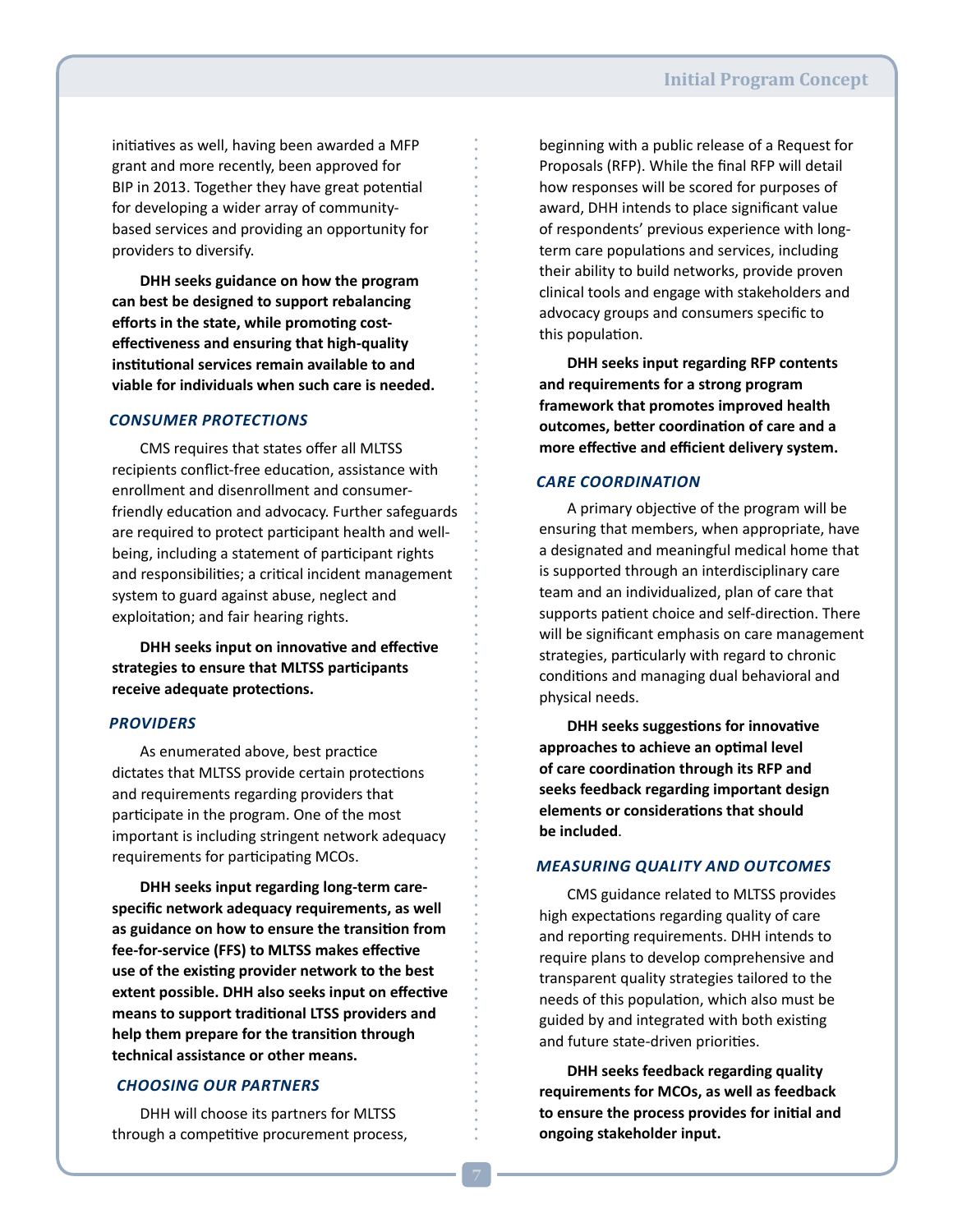initiatives as well, having been awarded a MFP grant and more recently, been approved for BIP in 2013. Together they have great potential for developing a wider array of communitybased services and providing an opportunity for providers to diversify.

**DHH seeks guidance on how the program can best be designed to support rebalancing efforts in the state, while promoting costeffectiveness and ensuring that high-quality institutional services remain available to and viable for individuals when such care is needed.** 

### *Consumer Protections*

CMS requires that states offer all MLTSS recipients conflict-free education, assistance with enrollment and disenrollment and consumerfriendly education and advocacy. Further safeguards are required to protect participant health and wellbeing, including a statement of participant rights and responsibilities; a critical incident management system to guard against abuse, neglect and exploitation; and fair hearing rights.

**DHH seeks input on innovative and effective strategies to ensure that MLTSS participants receive adequate protections.** 

#### *Providers*

As enumerated above, best practice dictates that MLTSS provide certain protections and requirements regarding providers that participate in the program. One of the most important is including stringent network adequacy requirements for participating MCOs.

**DHH seeks input regarding long-term carespecific network adequacy requirements, as well as guidance on how to ensure the transition from fee-for-service (FFS) to MLTSS makes effective use of the existing provider network to the best extent possible. DHH also seeks input on effective means to support traditional LTSS providers and help them prepare for the transition through technical assistance or other means.**

### *Choosing our Partners*

DHH will choose its partners for MLTSS through a competitive procurement process, beginning with a public release of a Request for Proposals (RFP). While the final RFP will detail how responses will be scored for purposes of award, DHH intends to place significant value of respondents' previous experience with longterm care populations and services, including their ability to build networks, provide proven clinical tools and engage with stakeholders and advocacy groups and consumers specific to this population.

**DHH seeks input regarding RFP contents and requirements for a strong program framework that promotes improved health outcomes, better coordination of care and a more effective and efficient delivery system.** 

### *Care Coordination*

A primary objective of the program will be ensuring that members, when appropriate, have a designated and meaningful medical home that is supported through an interdisciplinary care team and an individualized, plan of care that supports patient choice and self-direction. There will be significant emphasis on care management strategies, particularly with regard to chronic conditions and managing dual behavioral and physical needs.

**DHH seeks suggestions for innovative approaches to achieve an optimal level of care coordination through its RFP and seeks feedback regarding important design elements or considerations that should be included**.

### *Measuring Quality and Outcomes*

CMS guidance related to MLTSS provides high expectations regarding quality of care and reporting requirements. DHH intends to require plans to develop comprehensive and transparent quality strategies tailored to the needs of this population, which also must be guided by and integrated with both existing and future state-driven priorities.

**DHH seeks feedback regarding quality requirements for MCOs, as well as feedback to ensure the process provides for initial and ongoing stakeholder input.**